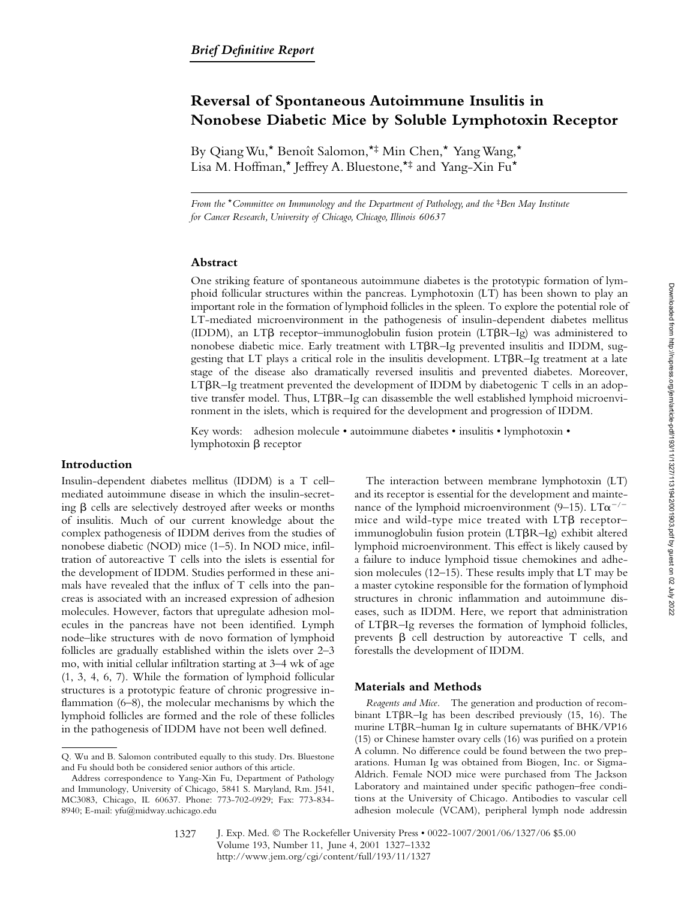# **Reversal of Spontaneous Autoimmune Insulitis in Nonobese Diabetic Mice by Soluble Lymphotoxin Receptor**

By Qiang Wu,\* Benoît Salomon,\*‡ Min Chen,\* Yang Wang,\* Lisa M. Hoffman,\* Jeffrey A. Bluestone,\*‡ and Yang-Xin Fu\*

*From the* \**Committee on Immunology and the Department of Pathology, and the* <sup>‡</sup>*Ben May Institute for Cancer Research, University of Chicago, Chicago, Illinois 60637*

## **Abstract**

One striking feature of spontaneous autoimmune diabetes is the prototypic formation of lymphoid follicular structures within the pancreas. Lymphotoxin (LT) has been shown to play an important role in the formation of lymphoid follicles in the spleen. To explore the potential role of LT-mediated microenvironment in the pathogenesis of insulin-dependent diabetes mellitus (IDDM), an LTß receptor-immunoglobulin fusion protein (LTßR-Ig) was administered to nonobese diabetic mice. Early treatment with LTBR-Ig prevented insulitis and IDDM, suggesting that LT plays a critical role in the insulitis development. LTBR-Ig treatment at a late stage of the disease also dramatically reversed insulitis and prevented diabetes. Moreover,  $LT\beta R$ –Ig treatment prevented the development of IDDM by diabetogenic T cells in an adoptive transfer model. Thus, LTBR-Ig can disassemble the well established lymphoid microenvironment in the islets, which is required for the development and progression of IDDM.

Key words: adhesion molecule • autoimmune diabetes • insulitis • lymphotoxin • lymphotoxin  $\beta$  receptor

## **Introduction**

Insulin-dependent diabetes mellitus (IDDM) is a T cell– mediated autoimmune disease in which the insulin-secreting  $\beta$  cells are selectively destroyed after weeks or months of insulitis. Much of our current knowledge about the complex pathogenesis of IDDM derives from the studies of nonobese diabetic (NOD) mice (1–5). In NOD mice, infiltration of autoreactive T cells into the islets is essential for the development of IDDM. Studies performed in these animals have revealed that the influx of T cells into the pancreas is associated with an increased expression of adhesion molecules. However, factors that upregulate adhesion molecules in the pancreas have not been identified. Lymph node–like structures with de novo formation of lymphoid follicles are gradually established within the islets over 2–3 mo, with initial cellular infiltration starting at 3–4 wk of age (1, 3, 4, 6, 7). While the formation of lymphoid follicular structures is a prototypic feature of chronic progressive inflammation (6–8), the molecular mechanisms by which the lymphoid follicles are formed and the role of these follicles in the pathogenesis of IDDM have not been well defined.

The interaction between membrane lymphotoxin (LT) and its receptor is essential for the development and maintenance of the lymphoid microenvironment (9–15). LT $\alpha$ <sup>-/-</sup> mice and wild-type mice treated with  $LT\beta$  receptor– immunoglobulin fusion protein  $(LT\beta R - Ig)$  exhibit altered lymphoid microenvironment. This effect is likely caused by a failure to induce lymphoid tissue chemokines and adhesion molecules (12–15). These results imply that LT may be a master cytokine responsible for the formation of lymphoid structures in chronic inflammation and autoimmune diseases, such as IDDM. Here, we report that administration of LTBR-Ig reverses the formation of lymphoid follicles, prevents  $\beta$  cell destruction by autoreactive T cells, and forestalls the development of IDDM.

#### **Materials and Methods**

*Reagents and Mice.* The generation and production of recombinant LTBR-Ig has been described previously (15, 16). The murine LT $\beta$ R-human Ig in culture supernatants of BHK/VP16 (15) or Chinese hamster ovary cells (16) was purified on a protein A column. No difference could be found between the two preparations. Human Ig was obtained from Biogen, Inc. or Sigma-Aldrich. Female NOD mice were purchased from The Jackson Laboratory and maintained under specific pathogen–free conditions at the University of Chicago. Antibodies to vascular cell adhesion molecule (VCAM), peripheral lymph node addressin

Q. Wu and B. Salomon contributed equally to this study. Drs. Bluestone and Fu should both be considered senior authors of this article.

Address correspondence to Yang-Xin Fu, Department of Pathology and Immunology, University of Chicago, 5841 S. Maryland, Rm. J541, MC3083, Chicago, IL 60637. Phone: 773-702-0929; Fax: 773-834- 8940; E-mail: yfu@midway.uchicago.edu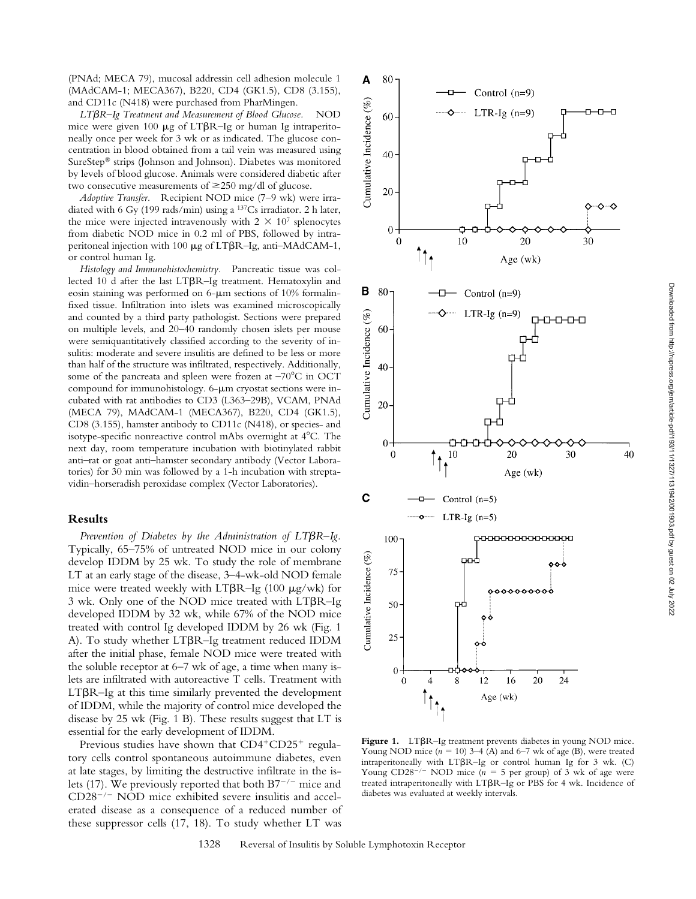(PNAd; MECA 79), mucosal addressin cell adhesion molecule 1 (MAdCAM-1; MECA367), B220, CD4 (GK1.5), CD8 (3.155), and CD11c (N418) were purchased from PharMingen.

*LT*-*R–Ig Treatment and Measurement of Blood Glucose.* NOD mice were given 100  $\mu$ g of LT $\beta$ R-Ig or human Ig intraperitoneally once per week for 3 wk or as indicated. The glucose concentration in blood obtained from a tail vein was measured using SureStep® strips (Johnson and Johnson). Diabetes was monitored by levels of blood glucose. Animals were considered diabetic after two consecutive measurements of  $\geq$ 250 mg/dl of glucose.

*Adoptive Transfer.* Recipient NOD mice (7–9 wk) were irradiated with 6 Gy (199 rads/min) using a 137Cs irradiator. 2 h later, the mice were injected intravenously with  $2 \times 10^7$  splenocytes from diabetic NOD mice in 0.2 ml of PBS, followed by intraperitoneal injection with 100 µg of LT $\beta$ R-Ig, anti-MAdCAM-1, or control human Ig.

*Histology and Immunohistochemistry.* Pancreatic tissue was collected 10 d after the last LTBR-Ig treatment. Hematoxylin and eosin staining was performed on  $6-\mu m$  sections of 10% formalinfixed tissue. Infiltration into islets was examined microscopically and counted by a third party pathologist. Sections were prepared on multiple levels, and 20–40 randomly chosen islets per mouse were semiquantitatively classified according to the severity of insulitis: moderate and severe insulitis are defined to be less or more than half of the structure was infiltrated, respectively. Additionally, some of the pancreata and spleen were frozen at  $-70^{\circ}$ C in OCT compound for immunohistology. 6- $\mu$ m cryostat sections were incubated with rat antibodies to CD3 (L363–29B), VCAM, PNAd (MECA 79), MAdCAM-1 (MECA367), B220, CD4 (GK1.5), CD8 (3.155), hamster antibody to CD11c (N418), or species- and isotype-specific nonreactive control mAbs overnight at 4<sup>o</sup>C. The next day, room temperature incubation with biotinylated rabbit anti–rat or goat anti–hamster secondary antibody (Vector Laboratories) for 30 min was followed by a 1-h incubation with streptavidin–horseradish peroxidase complex (Vector Laboratories).

## **Results**

Prevention of Diabetes by the Administration of LT $\beta$ R-Ig. Typically, 65–75% of untreated NOD mice in our colony develop IDDM by 25 wk. To study the role of membrane LT at an early stage of the disease, 3–4-wk-old NOD female mice were treated weekly with  $LT\beta R$ –Ig (100  $\mu$ g/wk) for  $3$  wk. Only one of the NOD mice treated with  $LT\beta R$ -Ig developed IDDM by 32 wk, while 67% of the NOD mice treated with control Ig developed IDDM by 26 wk (Fig. 1 A). To study whether LT $\beta$ R-Ig treatment reduced IDDM after the initial phase, female NOD mice were treated with the soluble receptor at 6–7 wk of age, a time when many islets are infiltrated with autoreactive T cells. Treatment with  $LT\beta R$ -Ig at this time similarly prevented the development of IDDM, while the majority of control mice developed the disease by 25 wk (Fig. 1 B). These results suggest that LT is essential for the early development of IDDM.

Previous studies have shown that  $CD4+CD25+$  regulatory cells control spontaneous autoimmune diabetes, even at late stages, by limiting the destructive infiltrate in the islets (17). We previously reported that both  $B7^{-/-}$  mice and  $CD28^{-/-}$  NOD mice exhibited severe insulitis and accelerated disease as a consequence of a reduced number of these suppressor cells (17, 18). To study whether LT was



Figure 1. LTBR-Ig treatment prevents diabetes in young NOD mice. Young NOD mice  $(n = 10)$  3–4 (A) and 6–7 wk of age (B), were treated intraperitoneally with  $LT\beta R-Ig$  or control human Ig for 3 wk. (C) Young  $CD28^{-/-}$  NOD mice ( $n = 5$  per group) of 3 wk of age were treated intraperitoneally with LTBR-Ig or PBS for 4 wk. Incidence of diabetes was evaluated at weekly intervals.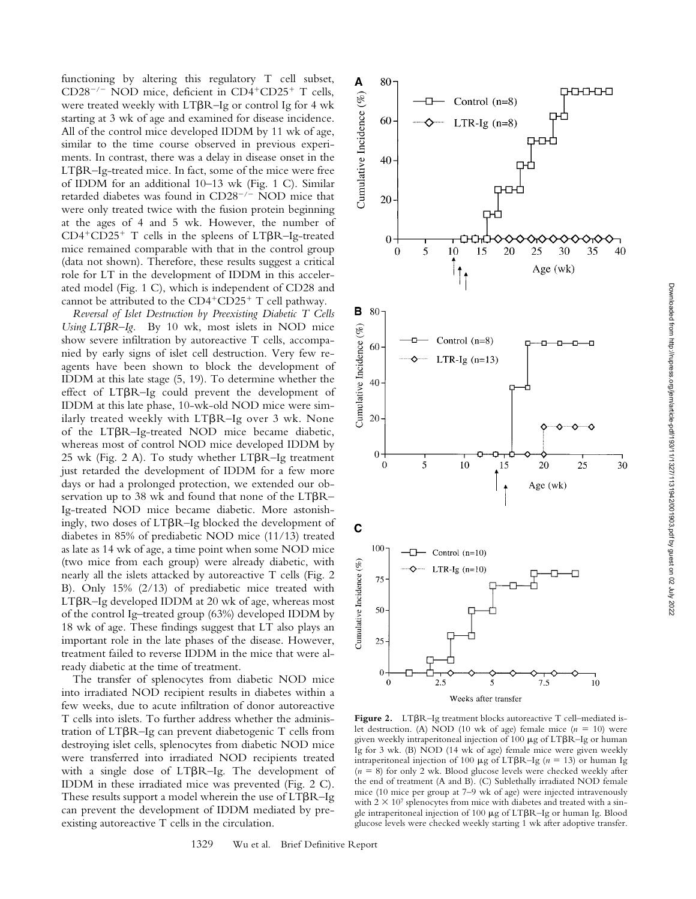functioning by altering this regulatory T cell subset, CD28<sup>-/-</sup> NOD mice, deficient in CD4<sup>+</sup>CD25<sup>+</sup> T cells, were treated weekly with LT $\beta$ R-Ig or control Ig for 4 wk starting at 3 wk of age and examined for disease incidence. All of the control mice developed IDDM by 11 wk of age, similar to the time course observed in previous experiments. In contrast, there was a delay in disease onset in the LTBR-Ig-treated mice. In fact, some of the mice were free of IDDM for an additional 10–13 wk (Fig. 1 C). Similar retarded diabetes was found in  $CD28^{-/-}$  NOD mice that were only treated twice with the fusion protein beginning at the ages of 4 and 5 wk. However, the number of  $CD4+CD25+$  T cells in the spleens of LT $\beta$ R-Ig-treated mice remained comparable with that in the control group (data not shown). Therefore, these results suggest a critical role for LT in the development of IDDM in this accelerated model (Fig. 1 C), which is independent of CD28 and cannot be attributed to the  $CD4+CD25+T$  cell pathway.

*Reversal of Islet Destruction by Preexisting Diabetic T Cells Using LT* $\beta$ *R–Ig.* By 10 wk, most islets in NOD mice show severe infiltration by autoreactive T cells, accompanied by early signs of islet cell destruction. Very few reagents have been shown to block the development of IDDM at this late stage (5, 19). To determine whether the effect of LTBR-Ig could prevent the development of IDDM at this late phase, 10-wk-old NOD mice were similarly treated weekly with LT $\beta$ R–Ig over 3 wk. None of the LTBR-Ig-treated NOD mice became diabetic, whereas most of control NOD mice developed IDDM by  $25$  wk (Fig. 2 A). To study whether  $LT\beta R$ -Ig treatment just retarded the development of IDDM for a few more days or had a prolonged protection, we extended our observation up to 38 wk and found that none of the  $LT\beta R-$ Ig-treated NOD mice became diabetic. More astonishingly, two doses of LT $\beta$ R–Ig blocked the development of diabetes in 85% of prediabetic NOD mice (11/13) treated as late as 14 wk of age, a time point when some NOD mice (two mice from each group) were already diabetic, with nearly all the islets attacked by autoreactive T cells (Fig. 2 B). Only 15% (2/13) of prediabetic mice treated with LTβR–Ig developed IDDM at 20 wk of age, whereas most of the control Ig–treated group (63%) developed IDDM by 18 wk of age. These findings suggest that LT also plays an important role in the late phases of the disease. However, treatment failed to reverse IDDM in the mice that were already diabetic at the time of treatment.

The transfer of splenocytes from diabetic NOD mice into irradiated NOD recipient results in diabetes within a few weeks, due to acute infiltration of donor autoreactive T cells into islets. To further address whether the administration of LTBR-Ig can prevent diabetogenic T cells from destroying islet cells, splenocytes from diabetic NOD mice were transferred into irradiated NOD recipients treated with a single dose of LTBR-Ig. The development of IDDM in these irradiated mice was prevented (Fig. 2 C). These results support a model wherein the use of  $LT\beta R$ –Ig can prevent the development of IDDM mediated by preexisting autoreactive T cells in the circulation.



Figure 2. LTBR-Ig treatment blocks autoreactive T cell-mediated islet destruction. (A) NOD (10 wk of age) female mice  $(n = 10)$  were given weekly intraperitoneal injection of 100  $\mu$ g of LT $\beta$ R–Ig or human Ig for 3 wk. (B) NOD (14 wk of age) female mice were given weekly intraperitoneal injection of 100  $\mu$ g of LT $\beta$ R-Ig (*n* = 13) or human Ig  $(n = 8)$  for only 2 wk. Blood glucose levels were checked weekly after the end of treatment (A and B). (C) Sublethally irradiated NOD female mice (10 mice per group at 7–9 wk of age) were injected intravenously with  $2 \times 10^7$  splenocytes from mice with diabetes and treated with a single intraperitoneal injection of  $100 \mu$ g of LT $\beta$ R–Ig or human Ig. Blood glucose levels were checked weekly starting 1 wk after adoptive transfer.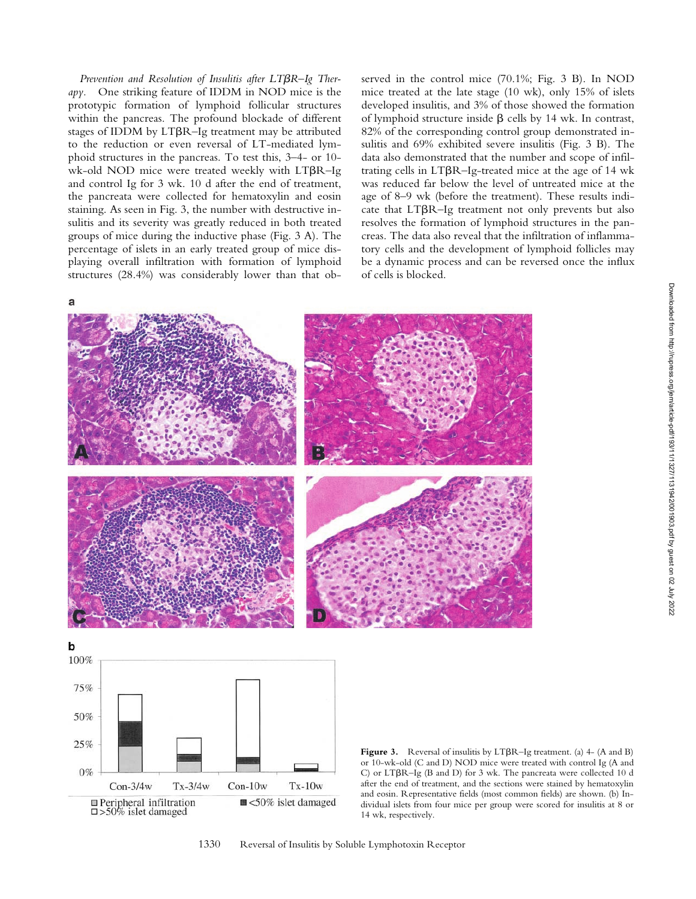Prevention and Resolution of Insulitis after LT $\beta R$ -Ig Ther*apy.* One striking feature of IDDM in NOD mice is the prototypic formation of lymphoid follicular structures within the pancreas. The profound blockade of different stages of IDDM by LT $\beta$ R-Ig treatment may be attributed to the reduction or even reversal of LT-mediated lymphoid structures in the pancreas. To test this, 3–4- or 10 wk-old NOD mice were treated weekly with  $LT\beta R$ -Ig and control Ig for 3 wk. 10 d after the end of treatment, the pancreata were collected for hematoxylin and eosin staining. As seen in Fig. 3, the number with destructive insulitis and its severity was greatly reduced in both treated groups of mice during the inductive phase (Fig. 3 A). The percentage of islets in an early treated group of mice displaying overall infiltration with formation of lymphoid structures (28.4%) was considerably lower than that observed in the control mice (70.1%; Fig. 3 B). In NOD mice treated at the late stage (10 wk), only 15% of islets developed insulitis, and 3% of those showed the formation of lymphoid structure inside  $\beta$  cells by 14 wk. In contrast, 82% of the corresponding control group demonstrated insulitis and 69% exhibited severe insulitis (Fig. 3 B). The data also demonstrated that the number and scope of infiltrating cells in  $LT\beta R$ –Ig-treated mice at the age of 14 wk was reduced far below the level of untreated mice at the age of 8–9 wk (before the treatment). These results indicate that  $LT\beta R$ -Ig treatment not only prevents but also resolves the formation of lymphoid structures in the pancreas. The data also reveal that the infiltration of inflammatory cells and the development of lymphoid follicles may be a dynamic process and can be reversed once the influx of cells is blocked.



 $\blacksquare$  <50% islet damaged □ Peripheral infiltration  $\square > 50\%$  islet damaged

 $Con-3/4w$ 

 $Tx-3/4w$ 

 $Con-10w$ 

Figure 3. Reversal of insulitis by LT $\beta R$ –Ig treatment. (a) 4- (A and B) or 10-wk-old (C and D) NOD mice were treated with control Ig (A and C) or LT $\beta$ R-Ig (B and D) for 3 wk. The pancreata were collected 10 d after the end of treatment, and the sections were stained by hematoxylin and eosin. Representative fields (most common fields) are shown. (b) Individual islets from four mice per group were scored for insulitis at 8 or 14 wk, respectively.

 $Tx-10w$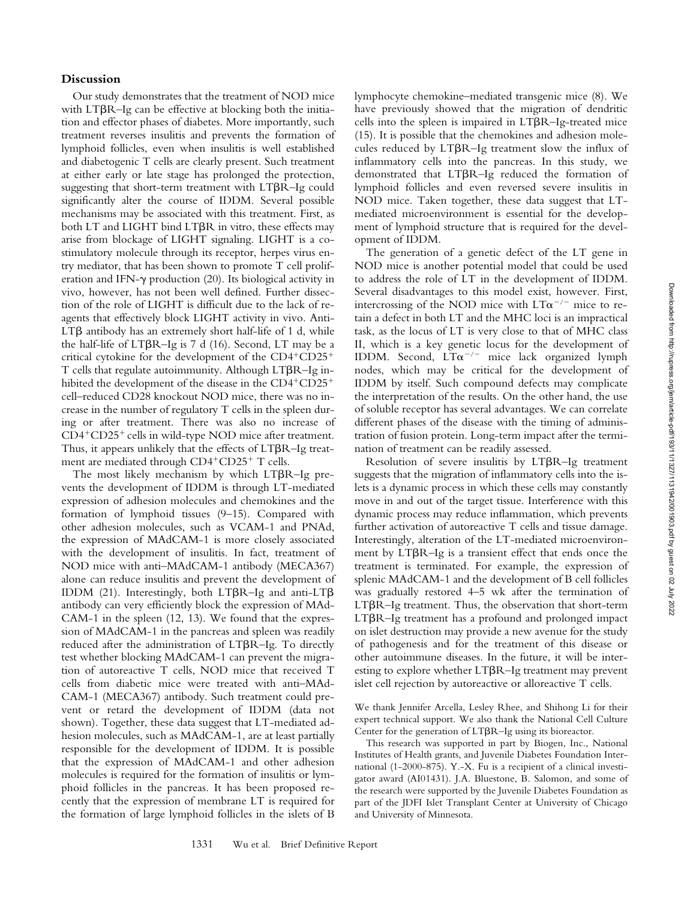# **Discussion**

Our study demonstrates that the treatment of NOD mice with LT $\beta$ R-Ig can be effective at blocking both the initiation and effector phases of diabetes. More importantly, such treatment reverses insulitis and prevents the formation of lymphoid follicles, even when insulitis is well established and diabetogenic T cells are clearly present. Such treatment at either early or late stage has prolonged the protection, suggesting that short-term treatment with  $LT\beta R$ -Ig could significantly alter the course of IDDM. Several possible mechanisms may be associated with this treatment. First, as both LT and LIGHT bind LT $\beta$ R in vitro, these effects may arise from blockage of LIGHT signaling. LIGHT is a costimulatory molecule through its receptor, herpes virus entry mediator, that has been shown to promote T cell proliferation and IFN- $\gamma$  production (20). Its biological activity in vivo, however, has not been well defined. Further dissection of the role of LIGHT is difficult due to the lack of reagents that effectively block LIGHT activity in vivo. Anti- $LT\beta$  antibody has an extremely short half-life of 1 d, while the half-life of  $LT\beta R$ –Ig is 7 d (16). Second,  $LT$  may be a critical cytokine for the development of the  $CD4+CD25+$ T cells that regulate autoimmunity. Although LTBR-Ig inhibited the development of the disease in the  $CD4+CD25+$ cell–reduced CD28 knockout NOD mice, there was no increase in the number of regulatory T cells in the spleen during or after treatment. There was also no increase of  $CD4+CD25+$  cells in wild-type NOD mice after treatment. Thus, it appears unlikely that the effects of  $LT\beta R$ –Ig treatment are mediated through CD4<sup>+</sup>CD25<sup>+</sup> T cells.

The most likely mechanism by which  $LT\beta R$ -Ig prevents the development of IDDM is through LT-mediated expression of adhesion molecules and chemokines and the formation of lymphoid tissues (9–15). Compared with other adhesion molecules, such as VCAM-1 and PNAd, the expression of MAdCAM-1 is more closely associated with the development of insulitis. In fact, treatment of NOD mice with anti–MAdCAM-1 antibody (MECA367) alone can reduce insulitis and prevent the development of IDDM (21). Interestingly, both LT $\beta$ R-Ig and anti-LT $\beta$ antibody can very efficiently block the expression of MAd-CAM-1 in the spleen (12, 13). We found that the expression of MAdCAM-1 in the pancreas and spleen was readily reduced after the administration of LTBR-Ig. To directly test whether blocking MAdCAM-1 can prevent the migration of autoreactive T cells, NOD mice that received T cells from diabetic mice were treated with anti–MAd-CAM-1 (MECA367) antibody. Such treatment could prevent or retard the development of IDDM (data not shown). Together, these data suggest that LT-mediated adhesion molecules, such as MAdCAM-1, are at least partially responsible for the development of IDDM. It is possible that the expression of MAdCAM-1 and other adhesion molecules is required for the formation of insulitis or lymphoid follicles in the pancreas. It has been proposed recently that the expression of membrane LT is required for the formation of large lymphoid follicles in the islets of B

lymphocyte chemokine–mediated transgenic mice (8). We have previously showed that the migration of dendritic cells into the spleen is impaired in LTBR-Ig-treated mice (15). It is possible that the chemokines and adhesion molecules reduced by  $LT\beta R$ -Ig treatment slow the influx of inflammatory cells into the pancreas. In this study, we demonstrated that LTBR-Ig reduced the formation of lymphoid follicles and even reversed severe insulitis in NOD mice. Taken together, these data suggest that LTmediated microenvironment is essential for the development of lymphoid structure that is required for the development of IDDM.

The generation of a genetic defect of the LT gene in NOD mice is another potential model that could be used to address the role of LT in the development of IDDM. Several disadvantages to this model exist, however. First, intercrossing of the NOD mice with  $LT\alpha^{-/-}$  mice to retain a defect in both LT and the MHC loci is an impractical task, as the locus of LT is very close to that of MHC class II, which is a key genetic locus for the development of IDDM. Second,  $LT\alpha^{-/-}$  mice lack organized lymph nodes, which may be critical for the development of IDDM by itself. Such compound defects may complicate the interpretation of the results. On the other hand, the use of soluble receptor has several advantages. We can correlate different phases of the disease with the timing of administration of fusion protein. Long-term impact after the termination of treatment can be readily assessed.

Resolution of severe insulitis by LTBR-Ig treatment suggests that the migration of inflammatory cells into the islets is a dynamic process in which these cells may constantly move in and out of the target tissue. Interference with this dynamic process may reduce inflammation, which prevents further activation of autoreactive T cells and tissue damage. Interestingly, alteration of the LT-mediated microenvironment by LT $\beta$ R-Ig is a transient effect that ends once the treatment is terminated. For example, the expression of splenic MAdCAM-1 and the development of B cell follicles was gradually restored 4–5 wk after the termination of LTBR–Ig treatment. Thus, the observation that short-term LTBR-Ig treatment has a profound and prolonged impact on islet destruction may provide a new avenue for the study of pathogenesis and for the treatment of this disease or other autoimmune diseases. In the future, it will be interesting to explore whether LT $\beta$ R-Ig treatment may prevent islet cell rejection by autoreactive or alloreactive T cells.

We thank Jennifer Arcella, Lesley Rhee, and Shihong Li for their expert technical support. We also thank the National Cell Culture Center for the generation of LT $\beta R$ -Ig using its bioreactor.

This research was supported in part by Biogen, Inc., National Institutes of Health grants, and Juvenile Diabetes Foundation International (1-2000-875). Y.-X. Fu is a recipient of a clinical investigator award (AI01431). J.A. Bluestone, B. Salomon, and some of the research were supported by the Juvenile Diabetes Foundation as part of the JDFI Islet Transplant Center at University of Chicago and University of Minnesota.